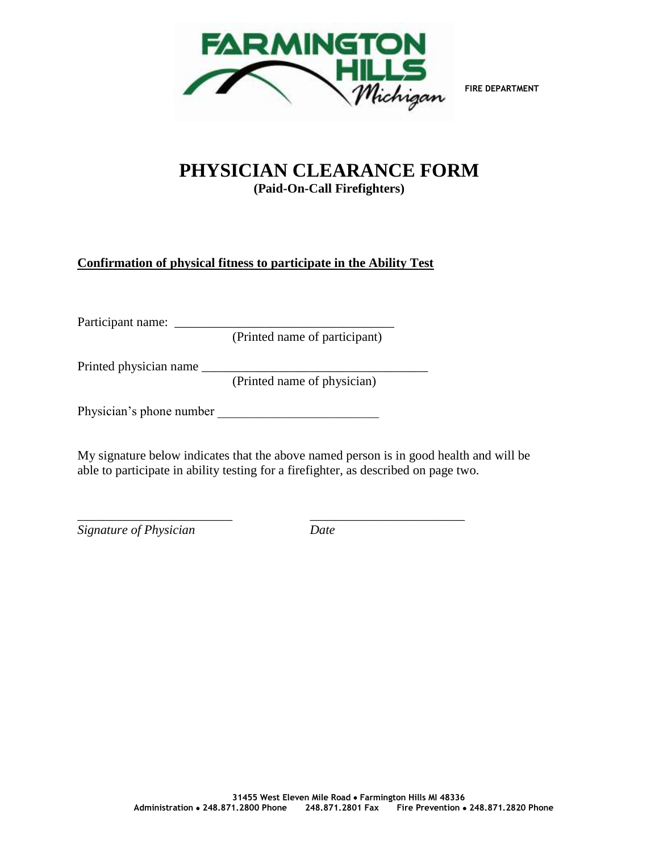

**FIRE DEPARTMENT**

## **PHYSICIAN CLEARANCE FORM (Paid-On-Call Firefighters)**

## **Confirmation of physical fitness to participate in the Ability Test**

Participant name: \_\_\_\_\_\_\_\_\_\_\_\_\_\_\_\_\_\_\_\_\_\_\_\_\_\_\_\_\_\_\_\_\_\_

(Printed name of participant)

Printed physician name \_\_\_\_\_\_\_\_\_\_\_\_\_\_\_\_\_\_\_\_\_\_\_\_\_\_\_\_\_\_\_\_\_\_\_

(Printed name of physician)

Physician's phone number \_\_\_\_\_\_\_\_\_\_\_\_\_\_\_\_\_\_\_\_\_\_\_\_\_

My signature below indicates that the above named person is in good health and will be able to participate in ability testing for a firefighter, as described on page two.

\_\_\_\_\_\_\_\_\_\_\_\_\_\_\_\_\_\_\_\_\_\_\_\_ \_\_\_\_\_\_\_\_\_\_\_\_\_\_\_\_\_\_\_\_\_\_\_\_ *Signature of Physician Date*